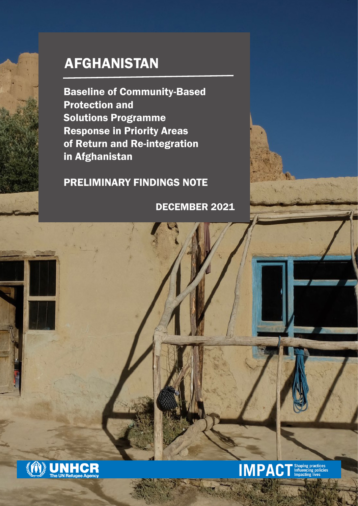# AFGHANISTAN

Baseline of Community-Based Protection and Solutions Programme Response in Priority Areas of Return and Re-integration in Afghanistan

PRELIMINARY FINDINGS NOTE

DECEMBER 2021

**IMPACT** Shaping practices

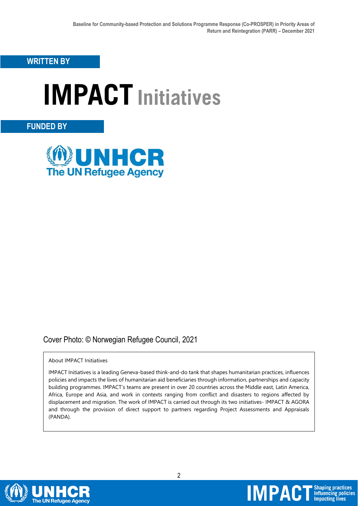**WRITTEN BY**

# **IMPACT Initiatives**

### **FUNDED BY**



## Cover Photo: © Norwegian Refugee Council, 2021

#### About IMPACT Initiatives

IMPACT Initiatives is a leading Geneva-based think-and-do tank that shapes humanitarian practices, influences policies and impacts the lives of humanitarian aid beneficiaries through information, partnerships and capacity building programmes. IMPACT's teams are present in over 20 countries across the Middle east, Latin America, Africa, Europe and Asia, and work in contexts ranging from conflict and disasters to regions affected by displacement and migration. The work of IMPACT is carried out through its two initiatives- IMPACT & AGORA and through the provision of direct support to partners regarding Project Assessments and Appraisals (PANDA).

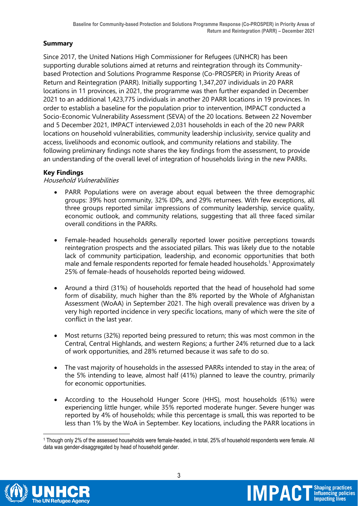#### **Summary**

Since 2017, the United Nations High Commissioner for Refugees (UNHCR) has been supporting durable solutions aimed at returns and reintegration through its Communitybased Protection and Solutions Programme Response (Co-PROSPER) in Priority Areas of Return and Reintegration (PARR). Initially supporting 1,347,207 individuals in 20 PARR locations in 11 provinces, in 2021, the programme was then further expanded in December 2021 to an additional 1,423,775 individuals in another 20 PARR locations in 19 provinces. In order to establish a baseline for the population prior to intervention, IMPACT conducted a Socio-Economic Vulnerability Assessment (SEVA) of the 20 locations. Between 22 November and 5 December 2021, IMPACT interviewed 2,031 households in each of the 20 new PARR locations on household vulnerabilities, community leadership inclusivity, service quality and access, livelihoods and economic outlook, and community relations and stability. The following preliminary findings note shares the key findings from the assessment, to provide an understanding of the overall level of integration of households living in the new PARRs.

#### **Key Findings**

#### Household Vulnerabilities

- PARR Populations were on average about equal between the three demographic groups: 39% host community, 32% IDPs, and 29% returnees. With few exceptions, all three groups reported similar impressions of community leadership, service quality, economic outlook, and community relations, suggesting that all three faced similar overall conditions in the PARRs.
- Female-headed households generally reported lower positive perceptions towards reintegration prospects and the associated pillars. This was likely due to the notable lack of community participation, leadership, and economic opportunities that both male and female respondents reported for female headed households.<sup>1</sup> Approximately 25% of female-heads of households reported being widowed.
- Around a third (31%) of households reported that the head of household had some form of disability, much higher than the 8% reported by the Whole of Afghanistan Assessment (WoAA) in September 2021. The high overall prevalence was driven by a very high reported incidence in very specific locations, many of which were the site of conflict in the last year.
- Most returns (32%) reported being pressured to return; this was most common in the Central, Central Highlands, and western Regions; a further 24% returned due to a lack of work opportunities, and 28% returned because it was safe to do so.
- The vast majority of households in the assessed PARRs intended to stay in the area; of the 5% intending to leave, almost half (41%) planned to leave the country, primarily for economic opportunities.
- According to the Household Hunger Score (HHS), most households (61%) were experiencing little hunger, while 35% reported moderate hunger. Severe hunger was reported by 4% of households; while this percentage is small, this was reported to be less than 1% by the WoA in September. Key locations, including the PARR locations in





<sup>&</sup>lt;u>.</u> <sup>1</sup> Though only 2% of the assessed households were female-headed, in total, 25% of household respondents were female. All data was gender-disaggregated by head of household gender.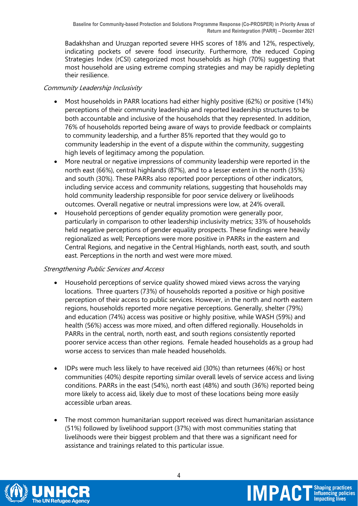Badakhshan and Uruzgan reported severe HHS scores of 18% and 12%, respectively, indicating pockets of severe food insecurity. Furthermore, the reduced Coping Strategies Index (rCSI) categorized most households as high (70%) suggesting that most household are using extreme comping strategies and may be rapidly depleting their resilience.

#### Community Leadership Inclusivity

- Most households in PARR locations had either highly positive (62%) or positive (14%) perceptions of their community leadership and reported leadership structures to be both accountable and inclusive of the households that they represented. In addition, 76% of households reported being aware of ways to provide feedback or complaints to community leadership, and a further 85% reported that they would go to community leadership in the event of a dispute within the community, suggesting high levels of legitimacy among the population.
- More neutral or negative impressions of community leadership were reported in the north east (66%), central highlands (87%), and to a lesser extent in the north (35%) and south (30%). These PARRs also reported poor perceptions of other indicators, including service access and community relations, suggesting that households may hold community leadership responsible for poor service delivery or livelihoods outcomes. Overall negative or neutral impressions were low, at 24% overall.
- Household perceptions of gender equality promotion were generally poor, particularly in comparison to other leadership inclusivity metrics; 33% of households held negative perceptions of gender equality prospects. These findings were heavily regionalized as well; Perceptions were more positive in PARRs in the eastern and Central Regions, and negative in the Central Highlands, north east, south, and south east. Perceptions in the north and west were more mixed.

#### Strengthening Public Services and Access

- Household perceptions of service quality showed mixed views across the varying locations. Three quarters (73%) of households reported a positive or high positive perception of their access to public services. However, in the north and north eastern regions, households reported more negative perceptions. Generally, shelter (79%) and education (74%) access was positive or highly positive, while WASH (59%) and health (56%) access was more mixed, and often differed regionally. Households in PARRs in the central, north, north east, and south regions consistently reported poorer service access than other regions. Female headed households as a group had worse access to services than male headed households.
- IDPs were much less likely to have received aid (30%) than returnees (46%) or host communities (40%) despite reporting similar overall levels of service access and living conditions. PARRs in the east (54%), north east (48%) and south (36%) reported being more likely to access aid, likely due to most of these locations being more easily accessible urban areas.
- The most common humanitarian support received was direct humanitarian assistance (51%) followed by livelihood support (37%) with most communities stating that livelihoods were their biggest problem and that there was a significant need for assistance and trainings related to this particular issue.

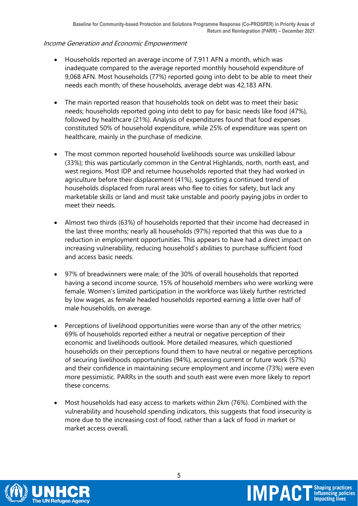#### Income Generation and Economic Empowerment

- Households reported an average income of 7,911 AFN a month, which was inadequate compared to the average reported monthly household expenditure of 9,068 AFN. Most households (77%) reported going into debt to be able to meet their needs each month; of these households, average debt was 42,183 AFN.
- The main reported reason that households took on debt was to meet their basic needs; households reported going into debt to pay for basic needs like food (47%), followed by healthcare (21%). Analysis of expenditures found that food expenses constituted 50% of household expenditure, while 25% of expenditure was spent on healthcare, mainly in the purchase of medicine.
- The most common reported household livelihoods source was unskilled labour (33%); this was particularly common in the Central Highlands, north, north east, and west regions. Most IDP and returnee households reported that they had worked in agriculture before their displacement (41%), suggesting a continued trend of households displaced from rural areas who flee to cities for safety, but lack any marketable skills or land and must take unstable and poorly paying jobs in order to meet their needs.
- Almost two thirds (63%) of households reported that their income had decreased in the last three months; nearly all households (97%) reported that this was due to a reduction in employment opportunities. This appears to have had a direct impact on increasing vulnerability, reducing household's abilities to purchase sufficient food and access basic needs.
- 97% of breadwinners were male; of the 30% of overall households that reported having a second income source, 15% of household members who were working were female. Women's limited participation in the workforce was likely further restricted by low wages, as female headed households reported earning a little over half of male households, on average.
- Perceptions of livelihood opportunities were worse than any of the other metrics; 69% of households reported either a neutral or negative perception of their economic and livelihoods outlook. More detailed measures, which questioned households on their perceptions found them to have neutral or negative perceptions of securing livelihoods opportunities (94%), accessing current or future work (57%) and their confidence in maintaining secure employment and income (73%) were even more pessimistic. PARRs in the south and south east were even more likely to report these concerns.
- Most households had easy access to markets within 2km (76%). Combined with the vulnerability and household spending indicators, this suggests that food insecurity is more due to the increasing cost of food, rather than a lack of food in market or market access overall.